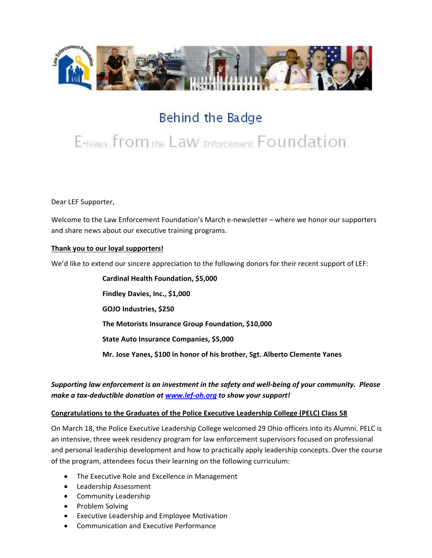

# Behind the Badge

# E-News from the Law Enforcement Foundation

Dear LEF Supporter,

Welcome to the Law Enforcement Foundation's March e-newsletter – where we honor our supporters and share news about our executive training programs.

#### **Thank you to our loyal supporters!**

We'd like to extend our sincere appreciation to the following donors for their recent support of LEF:

**Cardinal Health Foundation, \$5,000 Findley Davies, Inc., \$1,000 GOJO Industries, \$250 The Motorists Insurance Group Foundation, \$10,000 State Auto Insurance Companies, \$5,000 Mr. Jose Yanes, \$100 in honor of his brother, Sgt. Alberto Clemente Yanes**

# *Supporting law enforcement is an investment in the safety and well-being of your community. Please make a tax-deductible donation a[t www.lef-oh.org](http://www.lef-oh.org/) to show your support!*

#### **Congratulations to the Graduates of the Police Executive Leadership College (PELC) Class 58**

On March 18, the Police Executive Leadership College welcomed 29 Ohio officers into its Alumni. PELC is an intensive, three week residency program for law enforcement supervisors focused on professional and personal leadership development and how to practically apply leadership concepts. Over the course of the program, attendees focus their learning on the following curriculum:

- The Executive Role and Excellence in Management
- Leadership Assessment
- Community Leadership
- Problem Solving
- Executive Leadership and Employee Motivation
- Communication and Executive Performance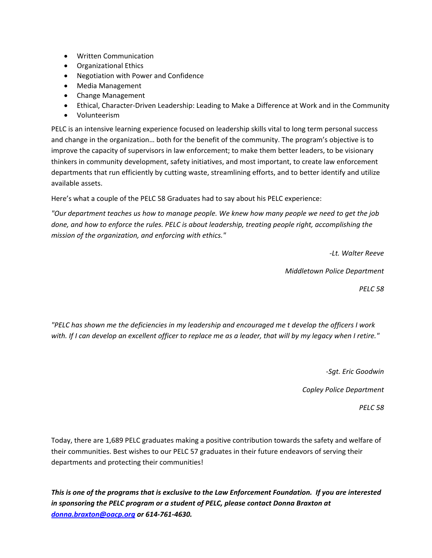- Written Communication
- Organizational Ethics
- Negotiation with Power and Confidence
- Media Management
- Change Management
- Ethical, Character-Driven Leadership: Leading to Make a Difference at Work and in the Community
- Volunteerism

PELC is an intensive learning experience focused on leadership skills vital to long term personal success and change in the organization… both for the benefit of the community. The program's objective is to improve the capacity of supervisors in law enforcement; to make them better leaders, to be visionary thinkers in community development, safety initiatives, and most important, to create law enforcement departments that run efficiently by cutting waste, streamlining efforts, and to better identify and utilize available assets.

Here's what a couple of the PELC 58 Graduates had to say about his PELC experience:

*"Our department teaches us how to manage people. We knew how many people we need to get the job done, and how to enforce the rules. PELC is about leadership, treating people right, accomplishing the mission of the organization, and enforcing with ethics."*

*-Lt. Walter Reeve*

*Middletown Police Department*

*PELC 58*

*"PELC has shown me the deficiencies in my leadership and encouraged me t develop the officers I work with. If I can develop an excellent officer to replace me as a leader, that will by my legacy when I retire."*

*-Sgt. Eric Goodwin*

*Copley Police Department*

*PELC 58*

Today, there are 1,689 PELC graduates making a positive contribution towards the safety and welfare of their communities. Best wishes to our PELC 57 graduates in their future endeavors of serving their departments and protecting their communities!

*This is one of the programs that is exclusive to the Law Enforcement Foundation. If you are interested in sponsoring the PELC program or a student of PELC, please contact Donna Braxton at [donna.braxton@oacp.org](mailto:donna.braxton@oacp.org) or 614-761-4630.*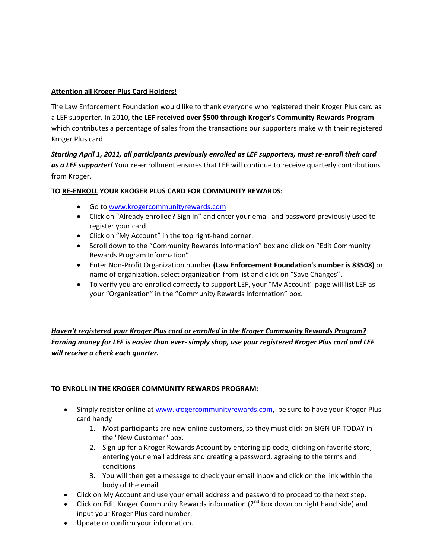#### **Attention all Kroger Plus Card Holders!**

The Law Enforcement Foundation would like to thank everyone who registered their Kroger Plus card as a LEF supporter. In 2010, **the LEF received over \$500 through Kroger's Community Rewards Program**  which contributes a percentage of sales from the transactions our supporters make with their registered Kroger Plus card.

*Starting April 1, 2011, all participants previously enrolled as LEF supporters, must re-enroll their card as a LEF supporter!* Your re-enrollment ensures that LEF will continue to receive quarterly contributions from Kroger.

### **TO RE-ENROLL YOUR KROGER PLUS CARD FOR COMMUNITY REWARDS:**

- Go t[o www.krogercommunityrewards.com](http://www.krogercommunityrewards.com/)
- Click on "Already enrolled? Sign In" and enter your email and password previously used to register your card.
- Click on "My Account" in the top right-hand corner.
- Scroll down to the "Community Rewards Information" box and click on "Edit Community Rewards Program Information".
- Enter Non-Profit Organization number **(Law Enforcement Foundation's number is 83508)** or name of organization, select organization from list and click on "Save Changes".
- To verify you are enrolled correctly to support LEF, your "My Account" page will list LEF as your "Organization" in the "Community Rewards Information" box.

*Haven't registered your Kroger Plus card or enrolled in the Kroger Community Rewards Program? Earning money for LEF is easier than ever- simply shop, use your registered Kroger Plus card and LEF will receive a check each quarter.*

# **TO ENROLL IN THE KROGER COMMUNITY REWARDS PROGRAM:**

- Simply register online a[t www.krogercommunityrewards.com](http://www.krogercommunityrewards.com/), be sure to have your Kroger Plus card handy
	- 1. Most participants are new online customers, so they must click on SIGN UP TODAY in the "New Customer" box.
	- 2. Sign up for a Kroger Rewards Account by entering zip code, clicking on favorite store, entering your email address and creating a password, agreeing to the terms and conditions
	- 3. You will then get a message to check your email inbox and click on the link within the body of the email.
- Click on My Account and use your email address and password to proceed to the next step.
- Click on Edit Kroger Community Rewards information (2<sup>nd</sup> box down on right hand side) and input your Kroger Plus card number.
- Update or confirm your information.